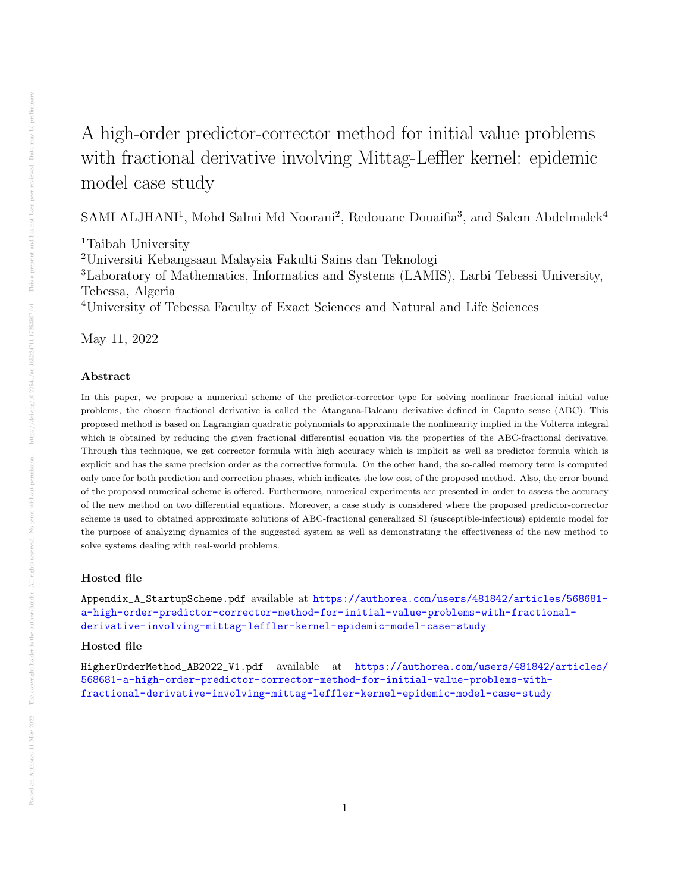## A high-order predictor-corrector method for initial value problems with fractional derivative involving Mittag-Leffler kernel: epidemic model case study

SAMI ALJHANI<sup>1</sup>, Mohd Salmi Md Noorani<sup>2</sup>, Redouane Douaifia<sup>3</sup>, and Salem Abdelmalek<sup>4</sup>

Taibah University Universiti Kebangsaan Malaysia Fakulti Sains dan Teknologi Laboratory of Mathematics, Informatics and Systems (LAMIS), Larbi Tebessi University, Tebessa, Algeria University of Tebessa Faculty of Exact Sciences and Natural and Life Sciences

May 11, 2022

## Abstract

In this paper, we propose a numerical scheme of the predictor-corrector type for solving nonlinear fractional initial value problems, the chosen fractional derivative is called the Atangana-Baleanu derivative defined in Caputo sense (ABC). This proposed method is based on Lagrangian quadratic polynomials to approximate the nonlinearity implied in the Volterra integral which is obtained by reducing the given fractional differential equation via the properties of the ABC-fractional derivative. Through this technique, we get corrector formula with high accuracy which is implicit as well as predictor formula which is explicit and has the same precision order as the corrective formula. On the other hand, the so-called memory term is computed only once for both prediction and correction phases, which indicates the low cost of the proposed method. Also, the error bound of the proposed numerical scheme is offered. Furthermore, numerical experiments are presented in order to assess the accuracy of the new method on two differential equations. Moreover, a case study is considered where the proposed predictor-corrector scheme is used to obtained approximate solutions of ABC-fractional generalized SI (susceptible-infectious) epidemic model for the purpose of analyzing dynamics of the suggested system as well as demonstrating the effectiveness of the new method to solve systems dealing with real-world problems.

## Hosted file

Appendix\_A\_StartupScheme.pdf available at [https://authorea.com/users/481842/articles/568681](https://authorea.com/users/481842/articles/568681-a-high-order-predictor-corrector-method-for-initial-value-problems-with-fractional-derivative-involving-mittag-leffler-kernel-epidemic-model-case-study) [a-high-order-predictor-corrector-method-for-initial-value-problems-with-fractional](https://authorea.com/users/481842/articles/568681-a-high-order-predictor-corrector-method-for-initial-value-problems-with-fractional-derivative-involving-mittag-leffler-kernel-epidemic-model-case-study)[derivative-involving-mittag-leffler-kernel-epidemic-model-case-study](https://authorea.com/users/481842/articles/568681-a-high-order-predictor-corrector-method-for-initial-value-problems-with-fractional-derivative-involving-mittag-leffler-kernel-epidemic-model-case-study)

## Hosted file

HigherOrderMethod\_AB2022\_V1.pdf available at [https://authorea.com/users/481842/articles/](https://authorea.com/users/481842/articles/568681-a-high-order-predictor-corrector-method-for-initial-value-problems-with-fractional-derivative-involving-mittag-leffler-kernel-epidemic-model-case-study) [568681-a-high-order-predictor-corrector-method-for-initial-value-problems-with](https://authorea.com/users/481842/articles/568681-a-high-order-predictor-corrector-method-for-initial-value-problems-with-fractional-derivative-involving-mittag-leffler-kernel-epidemic-model-case-study)[fractional-derivative-involving-mittag-leffler-kernel-epidemic-model-case-study](https://authorea.com/users/481842/articles/568681-a-high-order-predictor-corrector-method-for-initial-value-problems-with-fractional-derivative-involving-mittag-leffler-kernel-epidemic-model-case-study)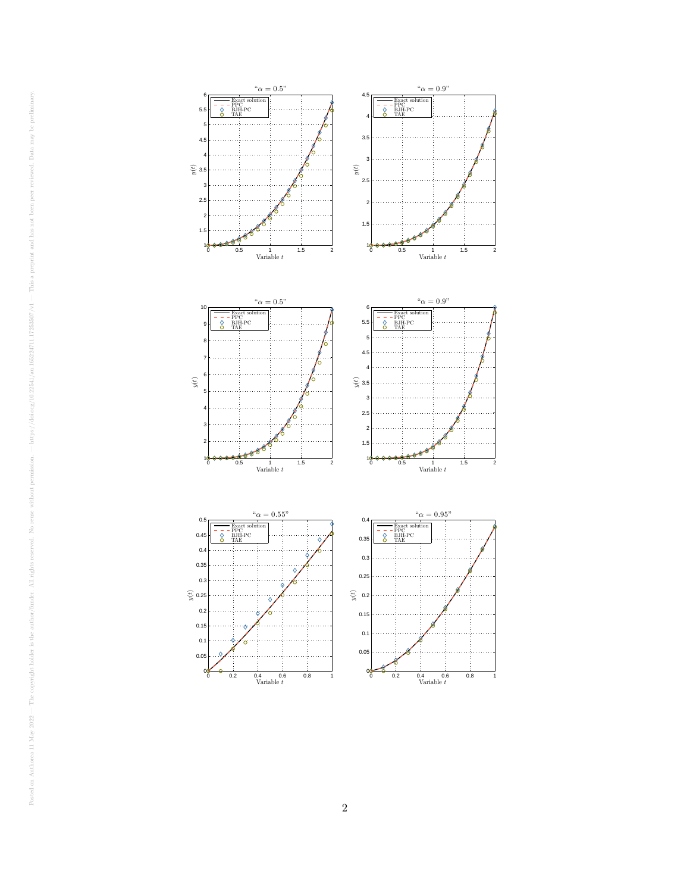

| Ì                        |  |
|--------------------------|--|
|                          |  |
| ļ                        |  |
| $\overline{a}$           |  |
| iore                     |  |
| j                        |  |
| j                        |  |
|                          |  |
| l<br>֦                   |  |
| ś                        |  |
| J                        |  |
|                          |  |
| wed                      |  |
|                          |  |
| <b>CONTRACTOR</b>        |  |
|                          |  |
| peer                     |  |
| j<br>֖֚֘֝֬               |  |
| j<br>١                   |  |
| i                        |  |
| ì                        |  |
| ă                        |  |
|                          |  |
| i<br>j<br>ļ              |  |
| į                        |  |
| í                        |  |
| preprin                  |  |
|                          |  |
| d<br>ì                   |  |
| ills r                   |  |
|                          |  |
|                          |  |
| I                        |  |
|                          |  |
|                          |  |
| ļ<br>l<br>$\overline{a}$ |  |
| j                        |  |
| 11.1.12<br>í             |  |
| l                        |  |
|                          |  |
| į<br>35224,              |  |
|                          |  |
|                          |  |
| $\frac{1}{2}$            |  |
| Lista Li                 |  |
| $\overline{\phantom{a}}$ |  |
| ŀ<br>- 44                |  |
| I<br>j                   |  |
|                          |  |
| <b>COLOR</b><br>ś        |  |
|                          |  |
|                          |  |
|                          |  |
| ğ                        |  |
|                          |  |
|                          |  |
| ŧ                        |  |
|                          |  |
| i<br>Í                   |  |
|                          |  |
|                          |  |
| mussio                   |  |
| <b>Jerr</b><br>ļ         |  |
|                          |  |
| $\ddot{\phantom{a}}$     |  |
|                          |  |
| þ                        |  |
|                          |  |
| use<br>ì                 |  |
|                          |  |
| ž                        |  |
|                          |  |
|                          |  |
| rveo.                    |  |
| rese)                    |  |
|                          |  |
| i<br>l.                  |  |
| j                        |  |
| į                        |  |
|                          |  |
| ĭ<br>ş                   |  |
|                          |  |
|                          |  |
| į<br>ì                   |  |
|                          |  |
|                          |  |
| j<br>ì                   |  |
| į<br>ì                   |  |
| š                        |  |
|                          |  |
| j                        |  |
|                          |  |
| į                        |  |
| i                        |  |
| š                        |  |
| ì                        |  |
|                          |  |
| Ë<br>į                   |  |
|                          |  |
|                          |  |
|                          |  |
|                          |  |
|                          |  |
|                          |  |
|                          |  |
| ĵ                        |  |
|                          |  |
| ì                        |  |
|                          |  |
| i<br>i                   |  |
|                          |  |
| $\overline{a}$           |  |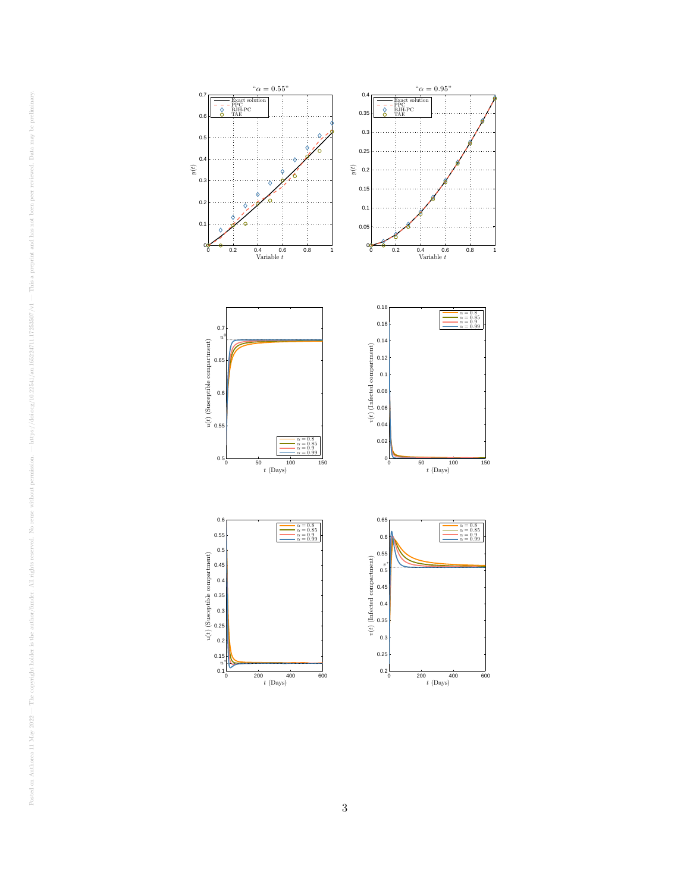

| î<br>ļ                                |  |
|---------------------------------------|--|
|                                       |  |
|                                       |  |
| $\overline{a}$<br>l                   |  |
|                                       |  |
|                                       |  |
|                                       |  |
| ì<br>į                                |  |
|                                       |  |
| j                                     |  |
| j                                     |  |
|                                       |  |
|                                       |  |
| g                                     |  |
| reviewe                               |  |
|                                       |  |
|                                       |  |
| <b>Jeer</b>                           |  |
| j                                     |  |
|                                       |  |
| neen (                                |  |
| j<br>J<br>i                           |  |
|                                       |  |
| $\overline{a}$                        |  |
| l                                     |  |
|                                       |  |
|                                       |  |
| í<br>ë                                |  |
| Î                                     |  |
|                                       |  |
| ļ<br>Ĕ                                |  |
|                                       |  |
| $\pm$ PIIS $\degree$                  |  |
|                                       |  |
| ĺ                                     |  |
|                                       |  |
|                                       |  |
|                                       |  |
| þ                                     |  |
| ļ                                     |  |
|                                       |  |
| J<br>ì<br>ï                           |  |
|                                       |  |
| į<br>j                                |  |
| į                                     |  |
| Žeo                                   |  |
| C H C                                 |  |
| i                                     |  |
| j                                     |  |
| j                                     |  |
| <br>è                                 |  |
|                                       |  |
| l                                     |  |
|                                       |  |
| <b>Council</b>                        |  |
|                                       |  |
|                                       |  |
|                                       |  |
| ine                                   |  |
|                                       |  |
| Ë                                     |  |
| $\begin{array}{c} \hline \end{array}$ |  |
|                                       |  |
| j<br>ì                                |  |
| <b>USSIO</b>                          |  |
|                                       |  |
| onne                                  |  |
| I                                     |  |
|                                       |  |
| š                                     |  |
|                                       |  |
| j                                     |  |
| ĵ                                     |  |
| neuse<br>1                            |  |
|                                       |  |
|                                       |  |
|                                       |  |
| yrved.                                |  |
|                                       |  |
| resei                                 |  |
|                                       |  |
|                                       |  |
| $\overline{a}$                        |  |
| ă<br>5Í                               |  |
| ŧ                                     |  |
|                                       |  |
| į                                     |  |
|                                       |  |
|                                       |  |
| ļ                                     |  |
| Ë                                     |  |
| ì                                     |  |
| ł                                     |  |
|                                       |  |
| ì<br>ì                                |  |
|                                       |  |
| į                                     |  |
| į                                     |  |
|                                       |  |
|                                       |  |
| ä                                     |  |
| i                                     |  |
| $\frac{1}{2}$                         |  |
| ì                                     |  |
| Į                                     |  |
| j<br>j                                |  |
| ĺ<br>į                                |  |
| l                                     |  |
|                                       |  |
| ļ<br>ž                                |  |
| j                                     |  |
| į                                     |  |
|                                       |  |
|                                       |  |
| ⊣                                     |  |
| j                                     |  |
|                                       |  |
| ī                                     |  |
|                                       |  |
|                                       |  |
| E                                     |  |
|                                       |  |
| l<br>ł                                |  |
| ¢                                     |  |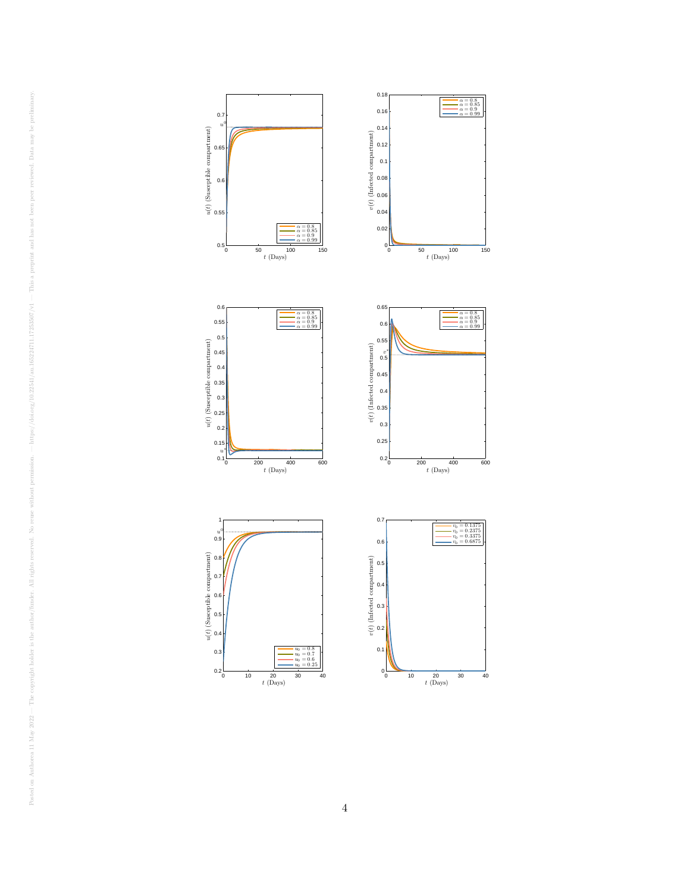

| $\overline{\phantom{a}}$       |  |
|--------------------------------|--|
|                                |  |
|                                |  |
| ļ                              |  |
| ĺ                              |  |
|                                |  |
|                                |  |
| ì<br>j                         |  |
|                                |  |
|                                |  |
| j                              |  |
| $\overline{\phantom{a}}$       |  |
|                                |  |
| ļ<br>Į                         |  |
| į<br>l                         |  |
|                                |  |
|                                |  |
| revie                          |  |
|                                |  |
| <b>CONTRACTOR</b>              |  |
| ļ                              |  |
| į<br>j                         |  |
| j<br>ì                         |  |
|                                |  |
|                                |  |
| į                              |  |
| ì                              |  |
| ֠                              |  |
| $\overline{\phantom{a}}$       |  |
|                                |  |
| j                              |  |
|                                |  |
|                                |  |
|                                |  |
| ì<br>Í                         |  |
| É                              |  |
| $\overline{\phantom{a}}$<br>l  |  |
| l                              |  |
|                                |  |
|                                |  |
| j                              |  |
|                                |  |
|                                |  |
| i                              |  |
| ì<br>ֺ                         |  |
| l                              |  |
| 4<br>j                         |  |
| 4441                           |  |
| ļ                              |  |
| i                              |  |
|                                |  |
|                                |  |
| $\overline{\phantom{a}}$       |  |
|                                |  |
| l<br>444<br>ï                  |  |
| ļ                              |  |
|                                |  |
| <b>Controller</b><br>į         |  |
|                                |  |
|                                |  |
|                                |  |
| DS.7                           |  |
|                                |  |
| Í                              |  |
|                                |  |
| I                              |  |
|                                |  |
|                                |  |
|                                |  |
|                                |  |
| SSIOIL.                        |  |
|                                |  |
| ĥ                              |  |
|                                |  |
| $\frac{1}{2}$<br>$\frac{1}{2}$ |  |
| ì                              |  |
|                                |  |
| j                              |  |
| ł                              |  |
| ----------<br>Ĵ                |  |
| j<br>I                         |  |
| į                              |  |
| j                              |  |
|                                |  |
|                                |  |
| served                         |  |
|                                |  |
| Ë                              |  |
| i.                             |  |
| ŗ                              |  |
|                                |  |
| į                              |  |
|                                |  |
|                                |  |
|                                |  |
|                                |  |
|                                |  |
|                                |  |
|                                |  |
|                                |  |
|                                |  |
|                                |  |
| ļ                              |  |
|                                |  |
|                                |  |
| ì                              |  |
|                                |  |
|                                |  |
| i                              |  |
| <b>TOP</b>                     |  |
| ì                              |  |
|                                |  |
| ï                              |  |
| l                              |  |
|                                |  |
| is and a                       |  |
|                                |  |
|                                |  |
|                                |  |
|                                |  |
|                                |  |
| Ì                              |  |
|                                |  |
|                                |  |
|                                |  |
|                                |  |
| l                              |  |
|                                |  |
|                                |  |
|                                |  |